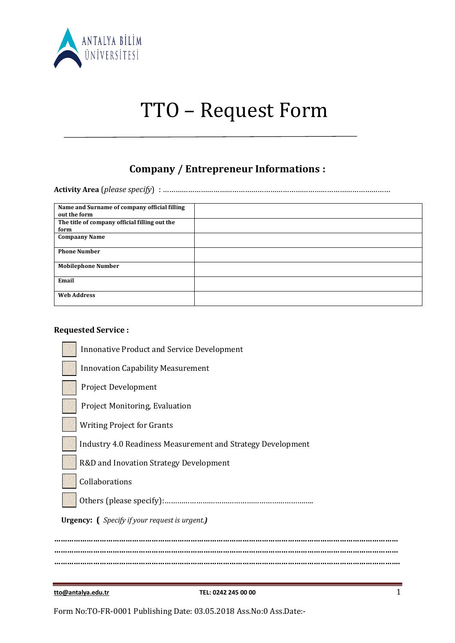

# TTO – Request Form

## **Company / Entrepreneur Informations :**

**Activity Area** (*please specify*) : ………………………………………………………………………………………………

| Name and Surname of company official filling  |  |
|-----------------------------------------------|--|
| out the form                                  |  |
| The title of company official filling out the |  |
| form                                          |  |
| <b>Compaany Name</b>                          |  |
|                                               |  |
| <b>Phone Number</b>                           |  |
|                                               |  |
| <b>Mobilephone Number</b>                     |  |
|                                               |  |
| Email                                         |  |
|                                               |  |
| <b>Web Address</b>                            |  |
|                                               |  |

#### **Requested Service :**

| <b>Innonative Product and Service Development</b>             |
|---------------------------------------------------------------|
| <b>Innovation Capability Measurement</b>                      |
| <b>Project Development</b>                                    |
| Project Monitoring, Evaluation                                |
| <b>Writing Project for Grants</b>                             |
| Industry 4.0 Readiness Measurement and Strategy Development   |
| R&D and Inovation Strategy Development                        |
| Collaborations                                                |
|                                                               |
| <b>Urgency:</b> ( <i>Specify if your request is urgent.</i> ) |
|                                                               |
|                                                               |

**tto@antalya.edu.tr TEL: 0242 245 00 00** 1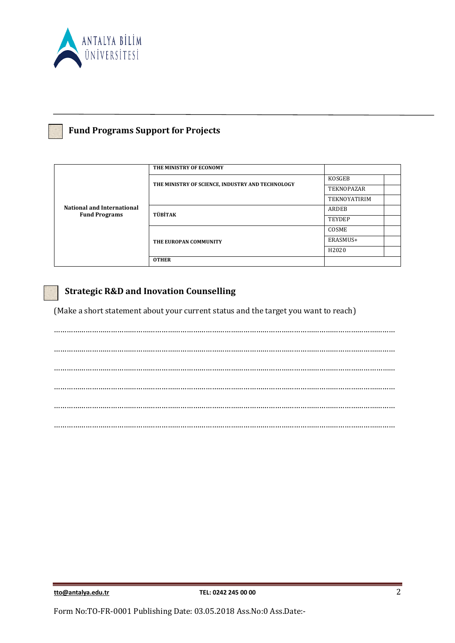

### **Fund Programs Support for Projects**

| <b>National and International</b><br><b>Fund Programs</b> | THE MINISTRY OF ECONOMY                          |                     |
|-----------------------------------------------------------|--------------------------------------------------|---------------------|
|                                                           | THE MINISTRY OF SCIENCE, INDUSTRY AND TECHNOLOGY | KOSGEB              |
|                                                           |                                                  | <b>TEKNOPAZAR</b>   |
|                                                           |                                                  | <b>TEKNOYATIRIM</b> |
|                                                           | TÜBİTAK                                          | ARDEB               |
|                                                           |                                                  | <b>TEYDEP</b>       |
|                                                           | THE EUROPAN COMMUNITY                            | COSME               |
|                                                           |                                                  | ERASMUS+            |
|                                                           |                                                  | H2020               |
|                                                           | <b>OTHER</b>                                     |                     |

#### **Strategic R&D and Inovation Counselling**

(Make a short statement about your current status and the target you want to reach)

……………………………………………………………………………………………………………………………………………… ……………………………………………………………………………………………………………………………………………… ……………………………………………………………………………………………………………………………………………… ……………………………………………………………………………………………………………………………………………… ……………………………………………………………………………………………………………………………………………… ………………………………………………………………………………………………………………………………………………